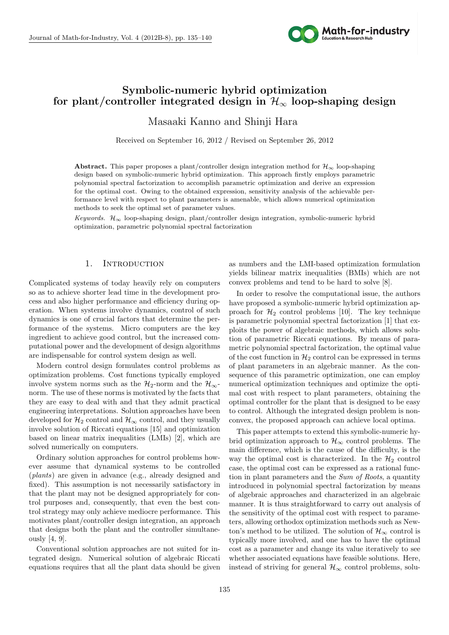

# **Symbolic-numeric hybrid optimization for plant/controller integrated design in**  $\mathcal{H}_{\infty}$  **loop-shaping design**

Masaaki Kanno and Shinji Hara

Received on September 16, 2012 / Revised on September 26, 2012

**Abstract.** This paper proposes a plant/controller design integration method for  $\mathcal{H}_{\infty}$  loop-shaping design based on symbolic-numeric hybrid optimization. This approach firstly employs parametric polynomial spectral factorization to accomplish parametric optimization and derive an expression for the optimal cost. Owing to the obtained expression, sensitivity analysis of the achievable performance level with respect to plant parameters is amenable, which allows numerical optimization methods to seek the optimal set of parameter values.

*Keywords. H<sup>∞</sup>* loop-shaping design, plant/controller design integration, symbolic-numeric hybrid optimization, parametric polynomial spectral factorization

## 1. INTRODUCTION

Complicated systems of today heavily rely on computers so as to achieve shorter lead time in the development process and also higher performance and efficiency during operation. When systems involve dynamics, control of such dynamics is one of crucial factors that determine the performance of the systems. Micro computers are the key ingredient to achieve good control, but the increased computational power and the development of design algorithms are indispensable for control system design as well.

Modern control design formulates control problems as optimization problems. Cost functions typically employed involve system norms such as the  $\mathcal{H}_2$ -norm and the  $\mathcal{H}_\infty$ norm. The use of these norms is motivated by the facts that they are easy to deal with and that they admit practical engineering interpretations. Solution approaches have been developed for  $\mathcal{H}_2$  control and  $\mathcal{H}_{\infty}$  control, and they usually involve solution of Riccati equations [15] and optimization based on linear matrix inequalities (LMIs) [2], which are solved numerically on computers.

Ordinary solution approaches for control problems however assume that dynamical systems to be controlled (*plants*) are given in advance (e.g., already designed and fixed). This assumption is not necessarily satisfactory in that the plant may not be designed appropriately for control purposes and, consequently, that even the best control strategy may only achieve mediocre performance. This motivates plant/controller design integration, an approach that designs both the plant and the controller simultaneously [4, 9].

Conventional solution approaches are not suited for integrated design. Numerical solution of algebraic Riccati equations requires that all the plant data should be given

as numbers and the LMI-based optimization formulation yields bilinear matrix inequalities (BMIs) which are not convex problems and tend to be hard to solve [8].

In order to resolve the computational issue, the authors have proposed a symbolic-numeric hybrid optimization approach for  $H_2$  control problems [10]. The key technique is parametric polynomial spectral factorization [1] that exploits the power of algebraic methods, which allows solution of parametric Riccati equations. By means of parametric polynomial spectral factorization, the optimal value of the cost function in  $\mathcal{H}_2$  control can be expressed in terms of plant parameters in an algebraic manner. As the consequence of this parametric optimization, one can employ numerical optimization techniques and optimize the optimal cost with respect to plant parameters, obtaining the optimal controller for the plant that is designed to be easy to control. Although the integrated design problem is nonconvex, the proposed approach can achieve local optima.

This paper attempts to extend this symbolic-numeric hybrid optimization approach to  $\mathcal{H}_{\infty}$  control problems. The main difference, which is the cause of the difficulty, is the way the optimal cost is characterized. In the  $\mathcal{H}_2$  control case, the optimal cost can be expressed as a rational function in plant parameters and the *Sum of Roots*, a quantity introduced in polynomial spectral factorization by means of algebraic approaches and characterized in an algebraic manner. It is thus straightforward to carry out analysis of the sensitivity of the optimal cost with respect to parameters, allowing orthodox optimization methods such as Newton's method to be utilized. The solution of  $\mathcal{H}_{\infty}$  control is typically more involved, and one has to have the optimal cost as a parameter and change its value iteratively to see whether associated equations have feasible solutions. Here, instead of striving for general  $\mathcal{H}_{\infty}$  control problems, solu-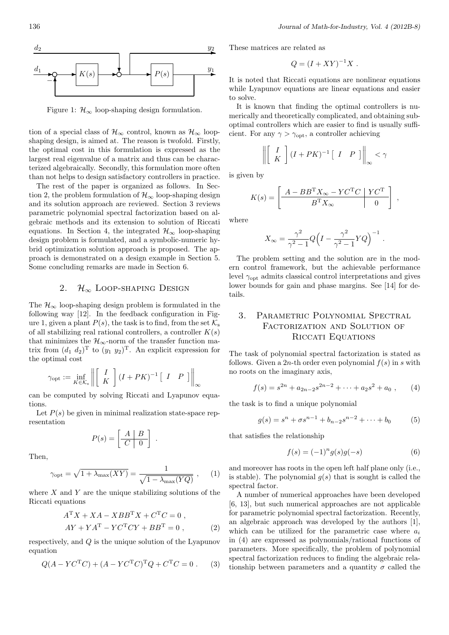

Figure 1:  $\mathcal{H}_{\infty}$  loop-shaping design formulation.

tion of a special class of  $\mathcal{H}_{\infty}$  control, known as  $\mathcal{H}_{\infty}$  loopshaping design, is aimed at. The reason is twofold. Firstly, the optimal cost in this formulation is expressed as the largest real eigenvalue of a matrix and thus can be characterized algebraically. Secondly, this formulation more often than not helps to design satisfactory controllers in practice.

The rest of the paper is organized as follows. In Section 2, the problem formulation of  $\mathcal{H}_{\infty}$  loop-shaping design and its solution approach are reviewed. Section 3 reviews parametric polynomial spectral factorization based on algebraic methods and its extension to solution of Riccati equations. In Section 4, the integrated  $\mathcal{H}_{\infty}$  loop-shaping design problem is formulated, and a symbolic-numeric hybrid optimization solution approach is proposed. The approach is demonstrated on a design example in Section 5. Some concluding remarks are made in Section 6.

### 2.  $\mathcal{H}_{\infty}$  LOOP-SHAPING DESIGN

The  $\mathcal{H}_{\infty}$  loop-shaping design problem is formulated in the following way [12]. In the feedback configuration in Figure 1, given a plant  $P(s)$ , the task is to find, from the set  $\mathcal{K}_s$ of all stabilizing real rational controllers, a controller *K*(*s*) that minimizes the  $\mathcal{H}_{\infty}$ -norm of the transfer function matrix from  $(d_1, d_2)^T$  to  $(y_1, y_2)^T$ . An explicit expression for the optimal cost

$$
\gamma_{\rm opt} := \inf_{K \in \mathcal{K}_{\rm s}} \left\| \left[ \begin{array}{c} I \\ K \end{array} \right] (I + PK)^{-1} \left[ \begin{array}{cc} I & P \end{array} \right] \right\|_{\infty}
$$

can be computed by solving Riccati and Lyapunov equations.

Let  $P(s)$  be given in minimal realization state-space representation

$$
P(s) = \left[ \begin{array}{c|c} A & B \\ \hline C & 0 \end{array} \right] .
$$

Then,

$$
\gamma_{\rm opt} = \sqrt{1 + \lambda_{\rm max}(XY)} = \frac{1}{\sqrt{1 - \lambda_{\rm max}(YQ)}} , \quad (1)
$$

where *X* and *Y* are the unique stabilizing solutions of the Riccati equations

$$
ATX + XA - XBBTX + CTC = 0,
$$
  
\n
$$
AY + YAT - YCTCY + BBT = 0,
$$
\n(2)

respectively, and *Q* is the unique solution of the Lyapunov equation

$$
Q(A - YCTC) + (A - YCTC)TQ + CTC = 0.
$$
 (3)

These matrices are related as

$$
Q = (I + XY)^{-1}X.
$$

It is noted that Riccati equations are nonlinear equations while Lyapunov equations are linear equations and easier to solve.

It is known that finding the optimal controllers is numerically and theoretically complicated, and obtaining suboptimal controllers which are easier to find is usually sufficient. For any  $\gamma > \gamma_{\text{opt}}$ , a controller achieving

$$
\left\| \left[ \begin{array}{c} I \\ K \end{array} \right] (I + PK)^{-1} \left[ \begin{array}{cc} I & P \end{array} \right] \right\|_{\infty} < \gamma
$$

is given by

$$
K(s) = \left[ \begin{array}{c|c} A - BB^{\mathrm{T}} X_{\infty} - Y C^{\mathrm{T}} C & Y C^{\mathrm{T}} \\ \hline B^{\mathrm{T}} X_{\infty} & 0 \end{array} \right] ,
$$

where

$$
X_{\infty} = \frac{\gamma^2}{\gamma^2 - 1} Q \Big( I - \frac{\gamma^2}{\gamma^2 - 1} Y Q \Big)^{-1}
$$

*.*

The problem setting and the solution are in the modern control framework, but the achievable performance level  $\gamma_{\text{opt}}$  admits classical control interpretations and gives lower bounds for gain and phase margins. See [14] for details.

## 3. Parametric Polynomial Spectral FACTORIZATION AND SOLUTION OF Riccati Equations

The task of polynomial spectral factorization is stated as follows. Given a 2*n*-th order even polynomial  $f(s)$  in *s* with no roots on the imaginary axis,

$$
f(s) = s^{2n} + a_{2n-2}s^{2n-2} + \dots + a_2s^2 + a_0 , \qquad (4)
$$

the task is to find a unique polynomial

$$
g(s) = sn + \sigma sn-1 + bn-2sn-2 + \dots + b_0
$$
 (5)

that satisfies the relationship

$$
f(s) = (-1)^n g(s)g(-s)
$$
 (6)

and moreover has roots in the open left half plane only (i.e., is stable). The polynomial  $g(s)$  that is sought is called the spectral factor.

A number of numerical approaches have been developed [6, 13], but such numerical approaches are not applicable for parametric polynomial spectral factorization. Recently, an algebraic approach was developed by the authors [1], which can be utilized for the parametric case where *a<sup>i</sup>* in (4) are expressed as polynomials/rational functions of parameters. More specifically, the problem of polynomial spectral factorization reduces to finding the algebraic relationship between parameters and a quantity  $\sigma$  called the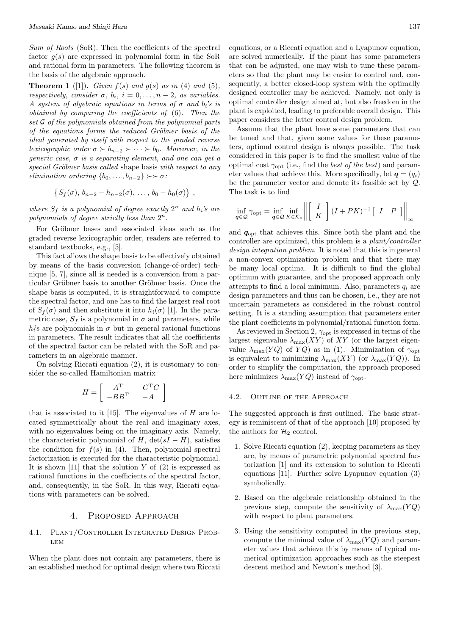*Sum of Roots* (SoR). Then the coefficients of the spectral factor  $q(s)$  are expressed in polynomial form in the SoR and rational form in parameters. The following theorem is the basis of the algebraic approach.

**Theorem 1** ([1]). *Given*  $f(s)$  *and*  $g(s)$  *as in* (4) *and* (5)*, respectively, consider*  $\sigma$ *,*  $b_i$ *,*  $i = 0, \ldots, n-2$ *, as variables. A* system of algebraic equations in terms of  $\sigma$  and  $b_i$ 's is *obtained by comparing the coefficients of* (6)*. Then the set G of the polynomials obtained from the polynomial parts of the equations forms the reduced Gröbner basis of the ideal generated by itself with respect to the graded reverse lexicographic order*  $\sigma \succ b_{n-2} \succ \cdots \succ b_0$ *. Moreover, in the generic case, σ is a separating element, and one can get a special Gröbner basis called* shape basis *with respect to any elimination ordering*  $\{b_0, \ldots, b_{n-2}\}$  >>  $\sigma$ *:* 

$$
\{S_f(\sigma), b_{n-2} - h_{n-2}(\sigma), \ldots, b_0 - h_0(\sigma)\},
$$

*where*  $S_f$  *is a polynomial of degree exactly*  $2^n$  *and*  $h_i$ *'s are polynomials of degree strictly less than* 2 *n.*

For Gröbner bases and associated ideas such as the graded reverse lexicographic order, readers are referred to standard textbooks, e.g., [5].

This fact allows the shape basis to be effectively obtained by means of the basis conversion (change-of-order) technique [5, 7], since all is needed is a conversion from a particular Gröbner basis to another Gröbner basis. Once the shape basis is computed, it is straightforward to compute the spectral factor, and one has to find the largest real root of  $S_f(\sigma)$  and then substitute it into  $h_i(\sigma)$  [1]. In the parametric case,  $S_f$  is a polynomial in  $\sigma$  and parameters, while  $h_i$ 's are polynomials in  $\sigma$  but in general rational functions in parameters. The result indicates that all the coefficients of the spectral factor can be related with the SoR and parameters in an algebraic manner.

On solving Riccati equation (2), it is customary to consider the so-called Hamiltonian matrix

$$
H = \left[ \begin{array}{cc} A^{\mathrm{T}} & -C^{\mathrm{T}}C \\ -BB^{\mathrm{T}} & -A \end{array} \right]
$$

that is associated to it [15]. The eigenvalues of *H* are located symmetrically about the real and imaginary axes, with no eigenvalues being on the imaginary axis. Namely, the characteristic polynomial of *H*, det( $sI - H$ ), satisfies the condition for  $f(s)$  in (4). Then, polynomial spectral factorization is executed for the characteristic polynomial. It is shown [11] that the solution *Y* of (2) is expressed as rational functions in the coefficients of the spectral factor, and, consequently, in the SoR. In this way, Riccati equations with parameters can be solved.

#### 4. Proposed Approach

#### 4.1. Plant/Controller Integrated Design Prob-LEM

When the plant does not contain any parameters, there is an established method for optimal design where two Riccati equations, or a Riccati equation and a Lyapunov equation, are solved numerically. If the plant has some parameters that can be adjusted, one may wish to tune these parameters so that the plant may be easier to control and, consequently, a better closed-loop system with the optimally designed controller may be achieved. Namely, not only is optimal controller design aimed at, but also freedom in the plant is exploited, leading to preferable overall design. This paper considers the latter control design problem.

Assume that the plant have some parameters that can be tuned and that, given some values for these parameters, optimal control design is always possible. The task considered in this paper is to find the smallest value of the optimal cost *γ*opt (i.e., find the *best of the best*) and parameter values that achieve this. More specifically, let  $q = (q_i)$ be the parameter vector and denote its feasible set by *Q*. The task is to find

$$
\inf_{\mathbf{q}\in\mathcal{Q}}\gamma_{\mathrm{opt}} = \inf_{\mathbf{q}\in\mathcal{Q}}\inf_{K\in\mathcal{K}_{\mathrm{s}}}\left\|\left[\begin{array}{c} I \\ K \end{array}\right](I+PK)^{-1}\left[\begin{array}{cc} I & P \end{array}\right]\right\|_{\infty}
$$

and *q*opt that achieves this. Since both the plant and the controller are optimized, this problem is a *plant/controller design integration problem*. It is noted that this is in general a non-convex optimization problem and that there may be many local optima. It is difficult to find the global optimum with guarantee, and the proposed approach only attempts to find a local minimum. Also, parameters  $q_i$  are design parameters and thus can be chosen, i.e., they are not uncertain parameters as considered in the robust control setting. It is a standing assumption that parameters enter the plant coefficients in polynomial/rational function form.

As reviewed in Section 2,  $\gamma_{\text{opt}}$  is expressed in terms of the largest eigenvalue  $\lambda_{\text{max}}(XY)$  of XY (or the largest eigenvalue  $\lambda_{\text{max}}(YQ)$  of  $YQ$ ) as in (1). Minimization of  $\gamma_{\text{opt}}$ is equivalent to minimizing  $\lambda_{\text{max}}(XY)$  (or  $\lambda_{\text{max}}(YQ)$ ). In order to simplify the computation, the approach proposed here minimizes  $\lambda_{\text{max}}(YQ)$  instead of  $\gamma_{\text{opt}}$ .

#### 4.2. Outline of the Approach

The suggested approach is first outlined. The basic strategy is reminiscent of that of the approach [10] proposed by the authors for  $\mathcal{H}_2$  control.

- 1. Solve Riccati equation (2), keeping parameters as they are, by means of parametric polynomial spectral factorization [1] and its extension to solution to Riccati equations [11]. Further solve Lyapunov equation (3) symbolically.
- 2. Based on the algebraic relationship obtained in the previous step, compute the sensitivity of  $\lambda_{\max}(YQ)$ with respect to plant parameters.
- 3. Using the sensitivity computed in the previous step, compute the minimal value of  $\lambda_{\text{max}}(YQ)$  and parameter values that achieve this by means of typical numerical optimization approaches such as the steepest descent method and Newton's method [3].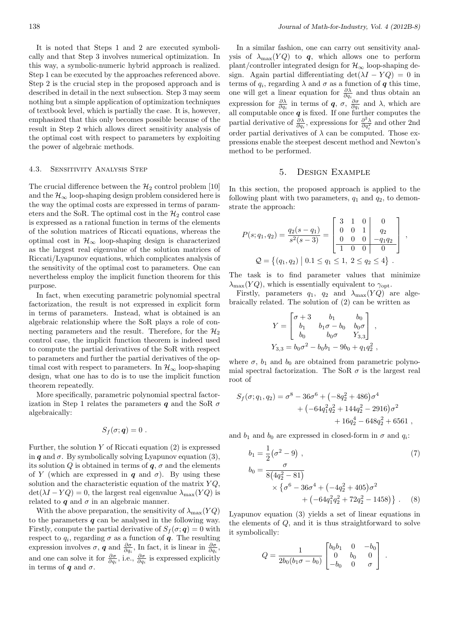It is noted that Steps 1 and 2 are executed symbolically and that Step 3 involves numerical optimization. In this way, a symbolic-numeric hybrid approach is realized. Step 1 can be executed by the approaches referenced above. Step 2 is the crucial step in the proposed approach and is described in detail in the next subsection. Step 3 may seem nothing but a simple application of optimization techniques of textbook level, which is partially the case. It is, however, emphasized that this only becomes possible because of the result in Step 2 which allows direct sensitivity analysis of the optimal cost with respect to parameters by exploiting the power of algebraic methods.

#### 4.3. Sensitivity Analysis Step

The crucial difference between the  $\mathcal{H}_2$  control problem [10] and the  $\mathcal{H}_{\infty}$  loop-shaping design problem considered here is the way the optimal costs are expressed in terms of parameters and the SoR. The optimal cost in the  $\mathcal{H}_2$  control case is expressed as a rational function in terms of the elements of the solution matrices of Riccati equations, whereas the optimal cost in  $\mathcal{H}_{\infty}$  loop-shaping design is characterized as the largest real eigenvalue of the solution matrices of Riccati/Lyapunov equations, which complicates analysis of the sensitivity of the optimal cost to parameters. One can nevertheless employ the implicit function theorem for this purpose.

In fact, when executing parametric polynomial spectral factorization, the result is not expressed in explicit form in terms of parameters. Instead, what is obtained is an algebraic relationship where the SoR plays a role of connecting parameters and the result. Therefore, for the  $\mathcal{H}_2$ control case, the implicit function theorem is indeed used to compute the partial derivatives of the SoR with respect to parameters and further the partial derivatives of the optimal cost with respect to parameters. In  $\mathcal{H}_{\infty}$  loop-shaping design, what one has to do is to use the implicit function theorem repeatedly.

More specifically, parametric polynomial spectral factorization in Step 1 relates the parameters  $q$  and the SoR  $\sigma$ algebraically:

$$
S_f(\sigma; \boldsymbol{q}) = 0.
$$

Further, the solution *Y* of Riccati equation (2) is expressed in  $q$  and  $\sigma$ . By symbolically solving Lyapunov equation (3), its solution *Q* is obtained in terms of  $q$ ,  $\sigma$  and the elements of *Y* (which are expressed in *q* and  $\sigma$ ). By using these solution and the characteristic equation of the matrix *Y Q*,  $\det(\lambda I - YQ) = 0$ , the largest real eigenvalue  $\lambda_{\text{max}}(YQ)$  is related to  $q$  and  $\sigma$  in an algebraic manner.

With the above preparation, the sensitivity of  $\lambda_{\max}(YQ)$ to the parameters *q* can be analysed in the following way. Firstly, compute the partial derivative of  $S_f(\sigma; \mathbf{q}) = 0$  with respect to  $q_i$ , regarding  $\sigma$  as a function of  $q$ . The resulting expression involves  $\sigma$ , *q* and  $\frac{\partial \sigma}{\partial q_i}$ , In fact, it is linear in  $\frac{\partial \sigma}{\partial q_i}$ , and one can solve it for  $\frac{\partial \sigma}{\partial q_i}$ , i.e.,  $\frac{\partial \sigma}{\partial q_i}$  is expressed explicitly in terms of  $q$  and  $q$ .

In a similar fashion, one can carry out sensitivity analysis of  $\lambda_{\max}(YQ)$  to *q*, which allows one to perform plant/controller integrated design for  $\mathcal{H}_{\infty}$  loop-shaping design. Again partial differentiating  $\det(\lambda I - YQ) = 0$  in terms of  $q_i$ , regarding  $\lambda$  and  $\sigma$  as a function of  $q$  this time, one will get a linear equation for  $\frac{\partial \lambda}{\partial q_i}$  and thus obtain an expression for  $\frac{\partial \lambda}{\partial q_i}$  in terms of *q*, *σ*,  $\frac{\partial \sigma}{\partial q_i}$  and  $\lambda$ , which are all computable once *q* is fixed. If one further computes the partial derivative of  $\frac{\partial \lambda}{\partial q_i}$ , expressions for  $\frac{\partial^2 \lambda}{\partial q_i^2}$  and other 2nd order partial derivatives of  $\lambda$  can be computed. Those expressions enable the steepest descent method and Newton's method to be performed.

#### 5. Design Example

In this section, the proposed approach is applied to the following plant with two parameters, *q*<sup>1</sup> and *q*2, to demonstrate the approach:

$$
P(s; q_1, q_2) = \frac{q_2(s - q_1)}{s^2(s - 3)} = \begin{bmatrix} 3 & 1 & 0 & 0 \ 0 & 0 & 1 & q_2 \ 0 & 0 & 0 & -q_1q_2 \ \hline 1 & 0 & 0 & 0 \end{bmatrix},
$$
  

$$
Q = \{(q_1, q_2) \mid 0.1 \le q_1 \le 1, 2 \le q_2 \le 4\}.
$$

The task is to find parameter values that minimize  $\lambda_{\text{max}}(YQ)$ , which is essentially equivalent to  $\gamma_{\text{opt}}$ .

Firstly, parameters  $q_1$ ,  $q_2$  and  $\lambda_{\text{max}}(YQ)$  are algebraically related. The solution of (2) can be written as

$$
Y = \begin{bmatrix} \sigma + 3 & b_1 & b_0 \\ b_1 & b_1 \sigma - b_0 & b_0 \sigma \\ b_0 & b_0 \sigma & Y_{3,3} \end{bmatrix},
$$
  

$$
Y_{3,3} = b_0 \sigma^2 - b_0 b_1 - 9b_0 + q_1 q_2^2,
$$

where  $\sigma$ ,  $b_1$  and  $b_0$  are obtained from parametric polynomial spectral factorization. The SoR  $\sigma$  is the largest real root of

$$
S_f(\sigma; q_1, q_2) = \sigma^8 - 36\sigma^6 + (-8q_2^2 + 486)\sigma^4
$$
  
+ (-64q\_1^2q\_2^2 + 144q\_2^2 - 2916)\sigma^2  
+ 16q\_2^4 - 648q\_2^2 + 6561,

and  $b_1$  and  $b_0$  are expressed in closed-form in  $\sigma$  and  $q_i$ :

$$
b_1 = \frac{1}{2} (\sigma^2 - 9) ,
$$
  
\n
$$
b_0 = \frac{\sigma}{8(4q_2^2 - 81)} \times {\sigma^6 - 36\sigma^4 + (-4q_2^2 + 405)\sigma^2 + (-64q_1^2q_2^2 + 72q_2^2 - 1458)} .
$$
\n(7)

Lyapunov equation (3) yields a set of linear equations in the elements of *Q*, and it is thus straightforward to solve it symbolically:

$$
Q = \frac{1}{2b_0(b_1\sigma - b_0)} \begin{bmatrix} b_0b_1 & 0 & -b_0 \ 0 & b_0 & 0 \ -b_0 & 0 & \sigma \end{bmatrix} .
$$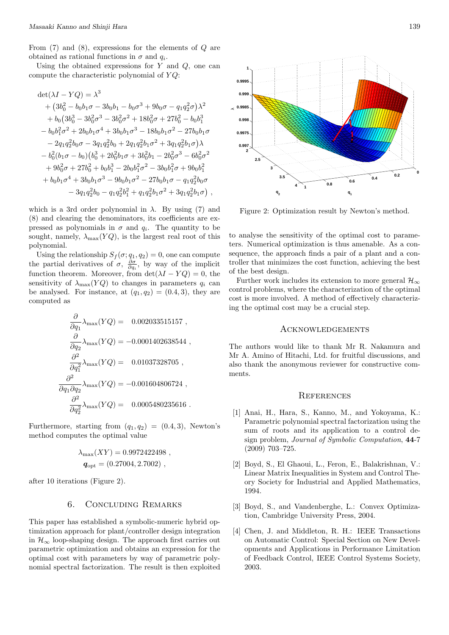From (7) and (8), expressions for the elements of *Q* are obtained as rational functions in  $\sigma$  and  $q_i$ .

Using the obtained expressions for *Y* and *Q*, one can compute the characteristic polynomial of *Y Q*:

$$
det(\lambda I - YQ) = \lambda^3
$$
  
+  $(3b_0^2 - b_0b_1\sigma - 3b_0b_1 - b_0\sigma^3 + 9b_0\sigma - q_1q_2^2\sigma)\lambda^2$   
+  $b_0(3b_0^3 - 3b_0^2\sigma^3 - 3b_0^2\sigma^2 + 18b_0^2\sigma + 27b_0^2 - b_0b_1^3$   
-  $b_0b_1^2\sigma^2 + 2b_0b_1\sigma^4 + 3b_0b_1\sigma^3 - 18b_0b_1\sigma^2 - 27b_0b_1\sigma$   
-  $2q_1q_2^2b_0\sigma - 3q_1q_2^2b_0 + 2q_1q_2^2b_1\sigma^2 + 3q_1q_2^2b_1\sigma)\lambda$   
-  $b_0^2(b_1\sigma - b_0)(b_0^3 + 2b_0^2b_1\sigma + 3b_0^2b_1 - 2b_0^2\sigma^3 - 6b_0^2\sigma^2$   
+  $9b_0^2\sigma + 27b_0^2 + b_0b_1^3 - 2b_0b_1^2\sigma^2 - 3b_0b_1^2\sigma + 9b_0b_1^2$   
+  $b_0b_1\sigma^4 + 3b_0b_1\sigma^3 - 9b_0b_1\sigma^2 - 27b_0b_1\sigma - q_1q_2^2b_0\sigma$   
-  $3q_1q_2^2b_0 - q_1q_2^2b_1^2 + q_1q_2^2b_1\sigma^2 + 3q_1q_2^2b_1\sigma)$ ,

which is a 3rd order polynomial in  $\lambda$ . By using (7) and (8) and clearing the denominators, its coefficients are expressed as polynomials in  $\sigma$  and  $q_i$ . The quantity to be sought, namely,  $\lambda_{\text{max}}(YQ)$ , is the largest real root of this polynomial.

Using the relationship  $S_f(\sigma; q_1, q_2) = 0$ , one can compute the partial derivatives of  $\sigma$ ,  $\frac{\partial \sigma}{\partial q_i}$ , by way of the implicit function theorem. Moreover, from  $\det(\lambda I - YQ) = 0$ , the sensitivity of  $\lambda_{\text{max}}(YQ)$  to changes in parameters  $q_i$  can be analysed. For instance, at  $(q_1, q_2) = (0.4, 3)$ , they are computed as

$$
\frac{\partial}{\partial q_1} \lambda_{\max}(YQ) = 0.002033515157 ,
$$
  
\n
$$
\frac{\partial}{\partial q_2} \lambda_{\max}(YQ) = -0.0001402638544 ,
$$
  
\n
$$
\frac{\partial^2}{\partial q_1^2} \lambda_{\max}(YQ) = 0.01037328705 ,
$$
  
\n
$$
\frac{\partial^2}{\partial q_1 \partial q_2} \lambda_{\max}(YQ) = -0.001604806724 ,
$$
  
\n
$$
\frac{\partial^2}{\partial q_2^2} \lambda_{\max}(YQ) = 0.0005480235616 .
$$

Furthermore, starting from  $(q_1, q_2) = (0.4, 3)$ , Newton's method computes the optimal value

$$
\lambda_{\text{max}}(XY) = 0.9972422498 ,
$$
  
\n
$$
q_{\text{opt}} = (0.27004, 2.7002) ,
$$

after 10 iterations (Figure 2).

#### 6. Concluding Remarks

This paper has established a symbolic-numeric hybrid optimization approach for plant/controller design integration in  $\mathcal{H}_{\infty}$  loop-shaping design. The approach first carries out parametric optimization and obtains an expression for the optimal cost with parameters by way of parametric polynomial spectral factorization. The result is then exploited



Figure 2: Optimization result by Newton's method.

to analyse the sensitivity of the optimal cost to parameters. Numerical optimization is thus amenable. As a consequence, the approach finds a pair of a plant and a controller that minimizes the cost function, achieving the best of the best design.

Further work includes its extension to more general  $\mathcal{H}_{\infty}$ control problems, where the characterization of the optimal cost is more involved. A method of effectively characterizing the optimal cost may be a crucial step.

#### Acknowledgements

The authors would like to thank Mr R. Nakamura and Mr A. Amino of Hitachi, Ltd. for fruitful discussions, and also thank the anonymous reviewer for constructive comments.

#### **REFERENCES**

- [1] Anai, H., Hara, S., Kanno, M., and Yokoyama, K.: Parametric polynomial spectral factorization using the sum of roots and its application to a control design problem, *Journal of Symbolic Computation*, **44**-7 (2009) 703–725.
- [2] Boyd, S., El Ghaoui, L., Feron, E., Balakrishnan, V.: Linear Matrix Inequalities in System and Control Theory Society for Industrial and Applied Mathematics, 1994.
- [3] Boyd, S., and Vandenberghe, L.: Convex Optimization, Cambridge University Press, 2004.
- [4] Chen, J. and Middleton, R. H.: IEEE Transactions on Automatic Control: Special Section on New Developments and Applications in Performance Limitation of Feedback Control, IEEE Control Systems Society, 2003.